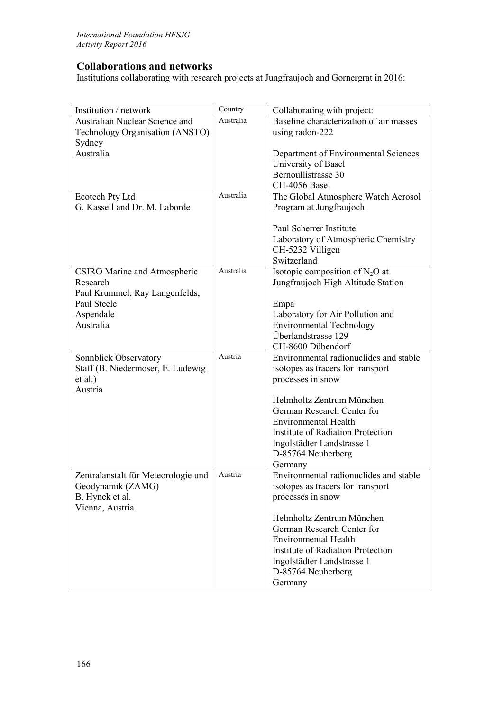## **Collaborations and networks**

Institutions collaborating with research projects at Jungfraujoch and Gornergrat in 2016:

| Institution / network                                      | Country   | Collaborating with project:                            |
|------------------------------------------------------------|-----------|--------------------------------------------------------|
| Australian Nuclear Science and                             | Australia | Baseline characterization of air masses                |
| Technology Organisation (ANSTO)                            |           | using radon-222                                        |
| Sydney                                                     |           |                                                        |
| Australia                                                  |           | Department of Environmental Sciences                   |
|                                                            |           | University of Basel                                    |
|                                                            |           | Bernoullistrasse 30                                    |
|                                                            |           | CH-4056 Basel                                          |
| Ecotech Pty Ltd                                            | Australia | The Global Atmosphere Watch Aerosol                    |
| G. Kassell and Dr. M. Laborde                              |           | Program at Jungfraujoch                                |
|                                                            |           |                                                        |
|                                                            |           | Paul Scherrer Institute                                |
|                                                            |           | Laboratory of Atmospheric Chemistry                    |
|                                                            |           | CH-5232 Villigen                                       |
|                                                            |           | Switzerland                                            |
| <b>CSIRO</b> Marine and Atmospheric                        | Australia | Isotopic composition of $N_2O$ at                      |
| Research                                                   |           | Jungfraujoch High Altitude Station                     |
| Paul Krummel, Ray Langenfelds,                             |           |                                                        |
| Paul Steele                                                |           | Empa                                                   |
| Aspendale                                                  |           | Laboratory for Air Pollution and                       |
| Australia                                                  |           | <b>Environmental Technology</b><br>Überlandstrasse 129 |
|                                                            |           | CH-8600 Dübendorf                                      |
|                                                            | Austria   | Environmental radionuclides and stable                 |
| Sonnblick Observatory<br>Staff (B. Niedermoser, E. Ludewig |           |                                                        |
| et al.)                                                    |           | isotopes as tracers for transport                      |
| Austria                                                    |           | processes in snow                                      |
|                                                            |           | Helmholtz Zentrum München                              |
|                                                            |           | German Research Center for                             |
|                                                            |           | <b>Environmental Health</b>                            |
|                                                            |           | <b>Institute of Radiation Protection</b>               |
|                                                            |           | Ingolstädter Landstrasse 1                             |
|                                                            |           | D-85764 Neuherberg                                     |
|                                                            |           | Germany                                                |
| Zentralanstalt für Meteorologie und                        | Austria   | Environmental radionuclides and stable                 |
| Geodynamik (ZAMG)                                          |           | isotopes as tracers for transport                      |
| B. Hynek et al.                                            |           | processes in snow                                      |
| Vienna, Austria                                            |           |                                                        |
|                                                            |           | Helmholtz Zentrum München                              |
|                                                            |           | German Research Center for                             |
|                                                            |           | <b>Environmental Health</b>                            |
|                                                            |           | <b>Institute of Radiation Protection</b>               |
|                                                            |           | Ingolstädter Landstrasse 1                             |
|                                                            |           | D-85764 Neuherberg                                     |
|                                                            |           | Germany                                                |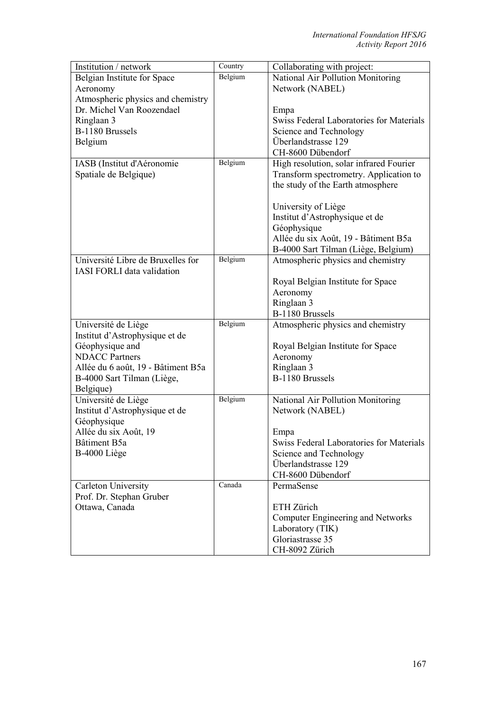| Institution / network              | Country | Collaborating with project:              |
|------------------------------------|---------|------------------------------------------|
| Belgian Institute for Space        | Belgium | National Air Pollution Monitoring        |
| Aeronomy                           |         | Network (NABEL)                          |
| Atmospheric physics and chemistry  |         |                                          |
| Dr. Michel Van Roozendael          |         | Empa                                     |
| Ringlaan 3                         |         | Swiss Federal Laboratories for Materials |
| B-1180 Brussels                    |         | Science and Technology                   |
| Belgium                            |         | Überlandstrasse 129                      |
|                                    |         | CH-8600 Dübendorf                        |
| IASB (Institut d'Aéronomie         | Belgium | High resolution, solar infrared Fourier  |
| Spatiale de Belgique)              |         | Transform spectrometry. Application to   |
|                                    |         | the study of the Earth atmosphere        |
|                                    |         |                                          |
|                                    |         | University of Liège                      |
|                                    |         | Institut d'Astrophysique et de           |
|                                    |         | Géophysique                              |
|                                    |         | Allée du six Août, 19 - Bâtiment B5a     |
|                                    |         | B-4000 Sart Tilman (Liège, Belgium)      |
| Université Libre de Bruxelles for  | Belgium | Atmospheric physics and chemistry        |
| <b>IASI FORLI data validation</b>  |         |                                          |
|                                    |         | Royal Belgian Institute for Space        |
|                                    |         | Aeronomy                                 |
|                                    |         | Ringlaan 3                               |
|                                    |         | B-1180 Brussels                          |
| Université de Liège                | Belgium | Atmospheric physics and chemistry        |
| Institut d'Astrophysique et de     |         |                                          |
| Géophysique and                    |         | Royal Belgian Institute for Space        |
| <b>NDACC</b> Partners              |         | Aeronomy                                 |
| Allée du 6 août, 19 - Bâtiment B5a |         | Ringlaan 3                               |
| B-4000 Sart Tilman (Liège,         |         | B-1180 Brussels                          |
| Belgique)                          |         |                                          |
| Université de Liège                | Belgium | National Air Pollution Monitoring        |
| Institut d'Astrophysique et de     |         | Network (NABEL)                          |
| Géophysique                        |         |                                          |
| Allée du six Août, 19              |         | Empa                                     |
| Bâtiment B5a                       |         | Swiss Federal Laboratories for Materials |
| B-4000 Liège                       |         | Science and Technology                   |
|                                    |         | Überlandstrasse 129                      |
|                                    |         | CH-8600 Dübendorf                        |
| Carleton University                | Canada  | PermaSense                               |
| Prof. Dr. Stephan Gruber           |         |                                          |
| Ottawa, Canada                     |         | ETH Zürich                               |
|                                    |         | Computer Engineering and Networks        |
|                                    |         | Laboratory (TIK)                         |
|                                    |         | Gloriastrasse 35                         |
|                                    |         | CH-8092 Zürich                           |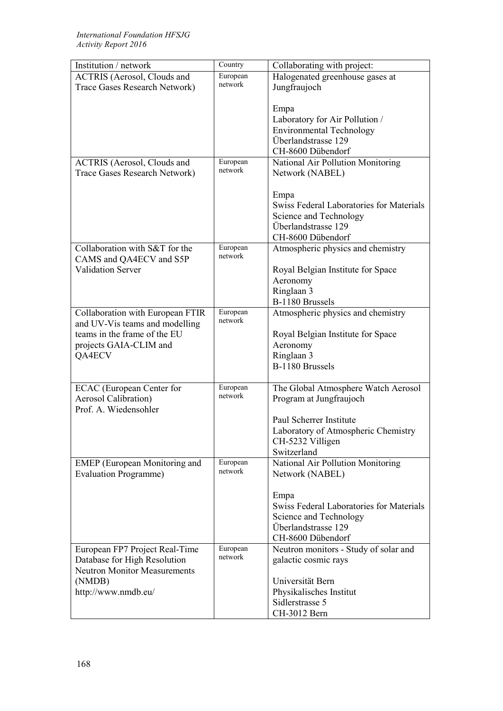| Institution / network                | Country             | Collaborating with project:              |
|--------------------------------------|---------------------|------------------------------------------|
| <b>ACTRIS</b> (Aerosol, Clouds and   | European            | Halogenated greenhouse gases at          |
| Trace Gases Research Network)        | network             | Jungfraujoch                             |
|                                      |                     |                                          |
|                                      |                     | Empa                                     |
|                                      |                     | Laboratory for Air Pollution /           |
|                                      |                     | <b>Environmental Technology</b>          |
|                                      |                     | Überlandstrasse 129                      |
|                                      |                     | CH-8600 Dübendorf                        |
| <b>ACTRIS</b> (Aerosol, Clouds and   | European            | National Air Pollution Monitoring        |
| Trace Gases Research Network)        | network             | Network (NABEL)                          |
|                                      |                     |                                          |
|                                      |                     | Empa                                     |
|                                      |                     | Swiss Federal Laboratories for Materials |
|                                      |                     | Science and Technology                   |
|                                      |                     | Überlandstrasse 129                      |
|                                      |                     | CH-8600 Dübendorf                        |
| Collaboration with S&T for the       | European            | Atmospheric physics and chemistry        |
| CAMS and QA4ECV and S5P              | network             |                                          |
| <b>Validation Server</b>             |                     | Royal Belgian Institute for Space        |
|                                      |                     | Aeronomy                                 |
|                                      |                     | Ringlaan 3                               |
|                                      |                     | B-1180 Brussels                          |
| Collaboration with European FTIR     | European            | Atmospheric physics and chemistry        |
| and UV-Vis teams and modelling       | network             |                                          |
| teams in the frame of the EU         |                     | Royal Belgian Institute for Space        |
| projects GAIA-CLIM and               |                     | Aeronomy                                 |
| QA4ECV                               |                     | Ringlaan 3                               |
|                                      |                     | B-1180 Brussels                          |
|                                      |                     |                                          |
| <b>ECAC</b> (European Center for     | European            | The Global Atmosphere Watch Aerosol      |
| <b>Aerosol Calibration</b> )         | network             | Program at Jungfraujoch                  |
| Prof. A. Wiedensohler                |                     |                                          |
|                                      |                     | Paul Scherrer Institute                  |
|                                      |                     |                                          |
|                                      |                     | Laboratory of Atmospheric Chemistry      |
|                                      |                     | CH-5232 Villigen<br>Switzerland          |
|                                      | European            |                                          |
| <b>EMEP</b> (European Monitoring and | network             | National Air Pollution Monitoring        |
| <b>Evaluation Programme)</b>         |                     | Network (NABEL)                          |
|                                      |                     |                                          |
|                                      |                     | Empa                                     |
|                                      |                     | Swiss Federal Laboratories for Materials |
|                                      |                     | Science and Technology                   |
|                                      |                     | Überlandstrasse 129                      |
|                                      |                     | CH-8600 Dübendorf                        |
| European FP7 Project Real-Time       | European<br>network | Neutron monitors - Study of solar and    |
| Database for High Resolution         |                     | galactic cosmic rays                     |
| <b>Neutron Monitor Measurements</b>  |                     |                                          |
| (NMDB)                               |                     | Universität Bern                         |
| http://www.nmdb.eu/                  |                     | Physikalisches Institut                  |
|                                      |                     | Sidlerstrasse 5                          |
|                                      |                     | CH-3012 Bern                             |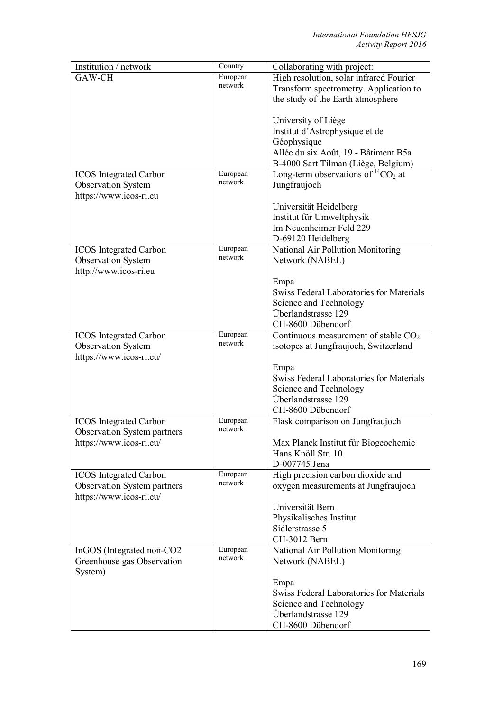| Institution / network              | Country             | Collaborating with project:                |
|------------------------------------|---------------------|--------------------------------------------|
| GAW-CH                             | European            | High resolution, solar infrared Fourier    |
|                                    | network             | Transform spectrometry. Application to     |
|                                    |                     | the study of the Earth atmosphere          |
|                                    |                     |                                            |
|                                    |                     | University of Liège                        |
|                                    |                     | Institut d'Astrophysique et de             |
|                                    |                     | Géophysique                                |
|                                    |                     | Allée du six Août, 19 - Bâtiment B5a       |
|                                    |                     | B-4000 Sart Tilman (Liège, Belgium)        |
| <b>ICOS</b> Integrated Carbon      | European            | Long-term observations of ${}^{14}CO_2$ at |
| <b>Observation System</b>          | network             | Jungfraujoch                               |
| https://www.icos-ri.eu             |                     |                                            |
|                                    |                     | Universität Heidelberg                     |
|                                    |                     | Institut für Umweltphysik                  |
|                                    |                     | Im Neuenheimer Feld 229                    |
|                                    |                     | D-69120 Heidelberg                         |
| <b>ICOS</b> Integrated Carbon      | European            | National Air Pollution Monitoring          |
| <b>Observation System</b>          | network             | Network (NABEL)                            |
| http://www.icos-ri.eu              |                     |                                            |
|                                    |                     | Empa                                       |
|                                    |                     | Swiss Federal Laboratories for Materials   |
|                                    |                     | Science and Technology                     |
|                                    |                     | Überlandstrasse 129                        |
|                                    |                     | CH-8600 Dübendorf                          |
| <b>ICOS</b> Integrated Carbon      | European            | Continuous measurement of stable $CO2$     |
| <b>Observation System</b>          | network             | isotopes at Jungfraujoch, Switzerland      |
| https://www.icos-ri.eu/            |                     |                                            |
|                                    |                     | Empa                                       |
|                                    |                     | Swiss Federal Laboratories for Materials   |
|                                    |                     | Science and Technology                     |
|                                    |                     | Überlandstrasse 129                        |
|                                    |                     | CH-8600 Dübendorf                          |
| <b>ICOS</b> Integrated Carbon      | European<br>network | Flask comparison on Jungfraujoch           |
| Observation System partners        |                     |                                            |
| https://www.icos-ri.eu/            |                     | Max Planck Institut für Biogeochemie       |
|                                    |                     | Hans Knöll Str. 10                         |
|                                    | European            | D-007745 Jena                              |
| <b>ICOS</b> Integrated Carbon      | network             | High precision carbon dioxide and          |
| <b>Observation System partners</b> |                     | oxygen measurements at Jungfraujoch        |
| https://www.icos-ri.eu/            |                     | Universität Bern                           |
|                                    |                     | Physikalisches Institut                    |
|                                    |                     | Sidlerstrasse 5                            |
|                                    |                     | CH-3012 Bern                               |
| InGOS (Integrated non-CO2          | European            | National Air Pollution Monitoring          |
| Greenhouse gas Observation         | network             | Network (NABEL)                            |
| System)                            |                     |                                            |
|                                    |                     | Empa                                       |
|                                    |                     | Swiss Federal Laboratories for Materials   |
|                                    |                     | Science and Technology                     |
|                                    |                     | Überlandstrasse 129                        |
|                                    |                     | CH-8600 Dübendorf                          |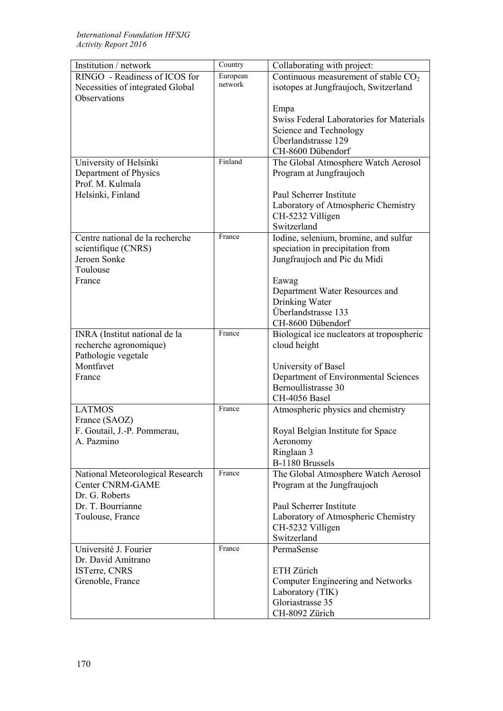| Institution / network            | Country  | Collaborating with project:               |
|----------------------------------|----------|-------------------------------------------|
| RINGO - Readiness of ICOS for    | European | Continuous measurement of stable $CO2$    |
| Necessities of integrated Global | network  | isotopes at Jungfraujoch, Switzerland     |
| Observations                     |          |                                           |
|                                  |          | Empa                                      |
|                                  |          | Swiss Federal Laboratories for Materials  |
|                                  |          | Science and Technology                    |
|                                  |          | Überlandstrasse 129                       |
|                                  |          | CH-8600 Dübendorf                         |
| University of Helsinki           | Finland  | The Global Atmosphere Watch Aerosol       |
| Department of Physics            |          | Program at Jungfraujoch                   |
| Prof. M. Kulmala                 |          |                                           |
| Helsinki, Finland                |          | Paul Scherrer Institute                   |
|                                  |          |                                           |
|                                  |          | Laboratory of Atmospheric Chemistry       |
|                                  |          | CH-5232 Villigen                          |
|                                  | France   | Switzerland                               |
| Centre national de la recherche  |          | Iodine, selenium, bromine, and sulfur     |
| scientifique (CNRS)              |          | speciation in precipitation from          |
| Jeroen Sonke                     |          | Jungfraujoch and Pic du Midi              |
| Toulouse                         |          |                                           |
| France                           |          | Eawag                                     |
|                                  |          | Department Water Resources and            |
|                                  |          | Drinking Water                            |
|                                  |          | Überlandstrasse 133                       |
|                                  |          | CH-8600 Dübendorf                         |
| INRA (Institut national de la    | France   | Biological ice nucleators at tropospheric |
| recherche agronomique)           |          | cloud height                              |
| Pathologie vegetale              |          |                                           |
| Montfavet                        |          | University of Basel                       |
| France                           |          | Department of Environmental Sciences      |
|                                  |          | Bernoullistrasse 30                       |
|                                  |          | CH-4056 Basel                             |
| <b>LATMOS</b>                    | France   | Atmospheric physics and chemistry         |
| France (SAOZ)                    |          |                                           |
| F. Goutail, J.-P. Pommerau,      |          | Royal Belgian Institute for Space         |
| A. Pazmino                       |          | Aeronomy                                  |
|                                  |          | Ringlaan 3                                |
|                                  |          | B-1180 Brussels                           |
| National Meteorological Research | France   | The Global Atmosphere Watch Aerosol       |
| <b>Center CNRM-GAME</b>          |          | Program at the Jungfraujoch               |
| Dr. G. Roberts                   |          |                                           |
| Dr. T. Bourrianne                |          | Paul Scherrer Institute                   |
| Toulouse, France                 |          | Laboratory of Atmospheric Chemistry       |
|                                  |          | CH-5232 Villigen                          |
|                                  |          | Switzerland                               |
| Université J. Fourier            | France   | PermaSense                                |
| Dr. David Amitrano               |          |                                           |
| ISTerre, CNRS                    |          | ETH Zürich                                |
| Grenoble, France                 |          | Computer Engineering and Networks         |
|                                  |          | Laboratory (TIK)                          |
|                                  |          | Gloriastrasse 35                          |
|                                  |          | CH-8092 Zürich                            |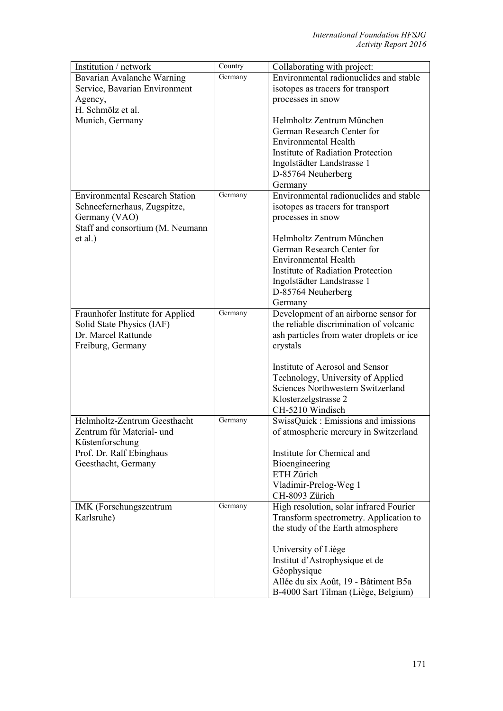| Institution / network                 | Country | Collaborating with project:              |
|---------------------------------------|---------|------------------------------------------|
| Bavarian Avalanche Warning            | Germany | Environmental radionuclides and stable   |
| Service, Bavarian Environment         |         | isotopes as tracers for transport        |
| Agency,                               |         | processes in snow                        |
| H. Schmölz et al.                     |         |                                          |
| Munich, Germany                       |         | Helmholtz Zentrum München                |
|                                       |         | German Research Center for               |
|                                       |         | Environmental Health                     |
|                                       |         | Institute of Radiation Protection        |
|                                       |         | Ingolstädter Landstrasse 1               |
|                                       |         | D-85764 Neuherberg                       |
|                                       |         | Germany                                  |
| <b>Environmental Research Station</b> | Germany | Environmental radionuclides and stable   |
| Schneefernerhaus, Zugspitze,          |         | isotopes as tracers for transport        |
| Germany (VAO)                         |         | processes in snow                        |
| Staff and consortium (M. Neumann      |         |                                          |
| et al.)                               |         | Helmholtz Zentrum München                |
|                                       |         | German Research Center for               |
|                                       |         | <b>Environmental Health</b>              |
|                                       |         | <b>Institute of Radiation Protection</b> |
|                                       |         | Ingolstädter Landstrasse 1               |
|                                       |         | D-85764 Neuherberg                       |
|                                       |         | Germany                                  |
| Fraunhofer Institute for Applied      | Germany | Development of an airborne sensor for    |
| Solid State Physics (IAF)             |         | the reliable discrimination of volcanic  |
| Dr. Marcel Rattunde                   |         | ash particles from water droplets or ice |
| Freiburg, Germany                     |         | crystals                                 |
|                                       |         |                                          |
|                                       |         | Institute of Aerosol and Sensor          |
|                                       |         | Technology, University of Applied        |
|                                       |         | Sciences Northwestern Switzerland        |
|                                       |         | Klosterzelgstrasse 2                     |
|                                       |         | CH-5210 Windisch                         |
| Helmholtz-Zentrum Geesthacht          | Germany | SwissQuick : Emissions and imissions     |
| Zentrum für Material- und             |         | of atmospheric mercury in Switzerland    |
| Küstenforschung                       |         |                                          |
| Prof. Dr. Ralf Ebinghaus              |         | Institute for Chemical and               |
| Geesthacht, Germany                   |         | Bioengineering                           |
|                                       |         | ETH Zürich                               |
|                                       |         | Vladimir-Prelog-Weg 1                    |
|                                       |         | CH-8093 Zürich                           |
| IMK (Forschungszentrum                | Germany | High resolution, solar infrared Fourier  |
| Karlsruhe)                            |         | Transform spectrometry. Application to   |
|                                       |         | the study of the Earth atmosphere        |
|                                       |         |                                          |
|                                       |         | University of Liège                      |
|                                       |         | Institut d'Astrophysique et de           |
|                                       |         | Géophysique                              |
|                                       |         | Allée du six Août, 19 - Bâtiment B5a     |
|                                       |         | B-4000 Sart Tilman (Liège, Belgium)      |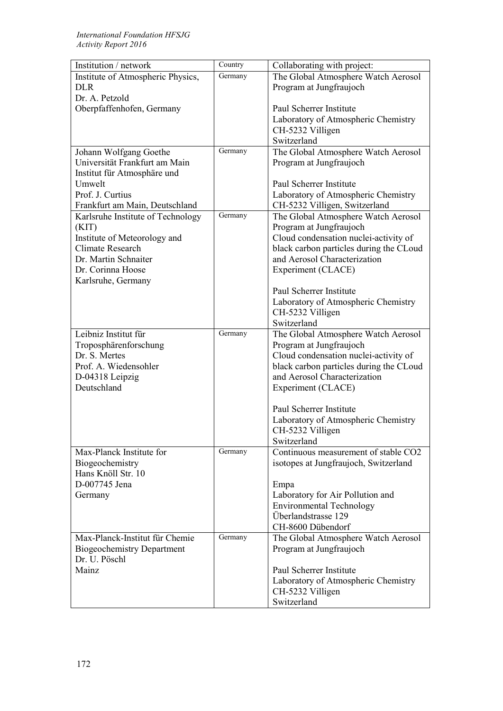| Institution / network             | Country | Collaborating with project:                         |
|-----------------------------------|---------|-----------------------------------------------------|
| Institute of Atmospheric Physics, | Germany | The Global Atmosphere Watch Aerosol                 |
| DLR                               |         | Program at Jungfraujoch                             |
| Dr. A. Petzold                    |         |                                                     |
| Oberpfaffenhofen, Germany         |         | Paul Scherrer Institute                             |
|                                   |         | Laboratory of Atmospheric Chemistry                 |
|                                   |         | CH-5232 Villigen                                    |
|                                   |         | Switzerland                                         |
| Johann Wolfgang Goethe            | Germany | The Global Atmosphere Watch Aerosol                 |
| Universität Frankfurt am Main     |         | Program at Jungfraujoch                             |
| Institut für Atmosphäre und       |         |                                                     |
| Umwelt                            |         | Paul Scherrer Institute                             |
| Prof. J. Curtius                  |         | Laboratory of Atmospheric Chemistry                 |
| Frankfurt am Main, Deutschland    |         | CH-5232 Villigen, Switzerland                       |
| Karlsruhe Institute of Technology | Germany | The Global Atmosphere Watch Aerosol                 |
| (KIT)                             |         | Program at Jungfraujoch                             |
| Institute of Meteorology and      |         | Cloud condensation nuclei-activity of               |
| <b>Climate Research</b>           |         | black carbon particles during the CLoud             |
| Dr. Martin Schnaiter              |         | and Aerosol Characterization                        |
| Dr. Corinna Hoose                 |         | Experiment (CLACE)                                  |
| Karlsruhe, Germany                |         |                                                     |
|                                   |         | Paul Scherrer Institute                             |
|                                   |         | Laboratory of Atmospheric Chemistry                 |
|                                   |         | CH-5232 Villigen                                    |
|                                   |         | Switzerland                                         |
| Leibniz Institut für              | Germany | The Global Atmosphere Watch Aerosol                 |
| Troposphärenforschung             |         | Program at Jungfraujoch                             |
| Dr. S. Mertes                     |         | Cloud condensation nuclei-activity of               |
| Prof. A. Wiedensohler             |         | black carbon particles during the CLoud             |
|                                   |         | and Aerosol Characterization                        |
| D-04318 Leipzig<br>Deutschland    |         |                                                     |
|                                   |         | Experiment (CLACE)                                  |
|                                   |         | Paul Scherrer Institute                             |
|                                   |         |                                                     |
|                                   |         | Laboratory of Atmospheric Chemistry                 |
|                                   |         | CH-5232 Villigen                                    |
| Max-Planck Institute for          | Germany | Switzerland<br>Continuous measurement of stable CO2 |
| Biogeochemistry                   |         |                                                     |
| Hans Knöll Str. 10                |         | isotopes at Jungfraujoch, Switzerland               |
| D-007745 Jena                     |         |                                                     |
|                                   |         | Empa                                                |
| Germany                           |         | Laboratory for Air Pollution and                    |
|                                   |         | <b>Environmental Technology</b>                     |
|                                   |         | Überlandstrasse 129                                 |
|                                   | Germany | CH-8600 Dübendorf                                   |
| Max-Planck-Institut für Chemie    |         | The Global Atmosphere Watch Aerosol                 |
| <b>Biogeochemistry Department</b> |         | Program at Jungfraujoch                             |
| Dr. U. Pöschl                     |         |                                                     |
| Mainz                             |         | Paul Scherrer Institute                             |
|                                   |         | Laboratory of Atmospheric Chemistry                 |
|                                   |         | CH-5232 Villigen                                    |
|                                   |         | Switzerland                                         |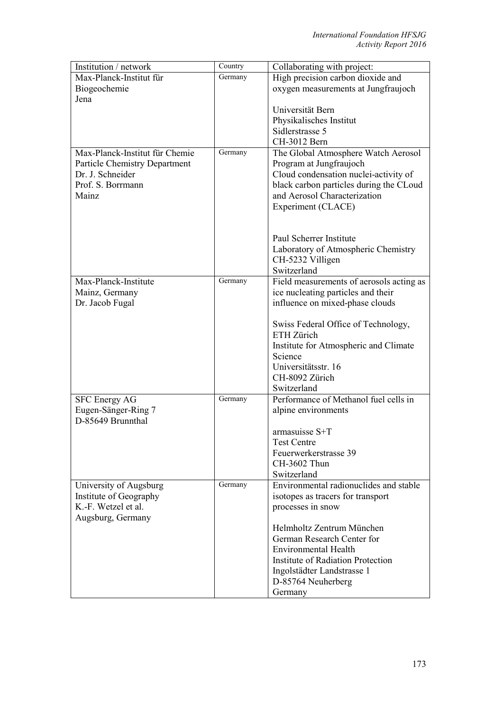| Institution / network                | Country | Collaborating with project:              |
|--------------------------------------|---------|------------------------------------------|
| Max-Planck-Institut für              | Germany | High precision carbon dioxide and        |
| Biogeochemie                         |         | oxygen measurements at Jungfraujoch      |
| Jena                                 |         |                                          |
|                                      |         | Universität Bern                         |
|                                      |         | Physikalisches Institut                  |
|                                      |         | Sidlerstrasse 5                          |
|                                      |         | CH-3012 Bern                             |
| Max-Planck-Institut für Chemie       | Germany | The Global Atmosphere Watch Aerosol      |
| <b>Particle Chemistry Department</b> |         | Program at Jungfraujoch                  |
| Dr. J. Schneider                     |         | Cloud condensation nuclei-activity of    |
| Prof. S. Borrmann                    |         | black carbon particles during the CLoud  |
| Mainz                                |         | and Aerosol Characterization             |
|                                      |         | Experiment (CLACE)                       |
|                                      |         |                                          |
|                                      |         |                                          |
|                                      |         | Paul Scherrer Institute                  |
|                                      |         | Laboratory of Atmospheric Chemistry      |
|                                      |         | CH-5232 Villigen                         |
|                                      |         | Switzerland                              |
| Max-Planck-Institute                 | Germany | Field measurements of aerosols acting as |
| Mainz, Germany                       |         | ice nucleating particles and their       |
| Dr. Jacob Fugal                      |         | influence on mixed-phase clouds          |
|                                      |         |                                          |
|                                      |         | Swiss Federal Office of Technology,      |
|                                      |         | ETH Zürich                               |
|                                      |         | Institute for Atmospheric and Climate    |
|                                      |         | Science                                  |
|                                      |         | Universitätsstr. 16                      |
|                                      |         | CH-8092 Zürich                           |
|                                      |         | Switzerland                              |
| <b>SFC Energy AG</b>                 | Germany | Performance of Methanol fuel cells in    |
| Eugen-Sänger-Ring 7                  |         | alpine environments                      |
| D-85649 Brunnthal                    |         |                                          |
|                                      |         | armasuisse S+T                           |
|                                      |         | Test Centre                              |
|                                      |         | Feuerwerkerstrasse 39                    |
|                                      |         | CH-3602 Thun                             |
|                                      |         | Switzerland                              |
| University of Augsburg               | Germany | Environmental radionuclides and stable   |
| Institute of Geography               |         | isotopes as tracers for transport        |
| K.-F. Wetzel et al.                  |         | processes in snow                        |
| Augsburg, Germany                    |         |                                          |
|                                      |         | Helmholtz Zentrum München                |
|                                      |         | German Research Center for               |
|                                      |         | <b>Environmental Health</b>              |
|                                      |         | <b>Institute of Radiation Protection</b> |
|                                      |         | Ingolstädter Landstrasse 1               |
|                                      |         | D-85764 Neuherberg                       |
|                                      |         | Germany                                  |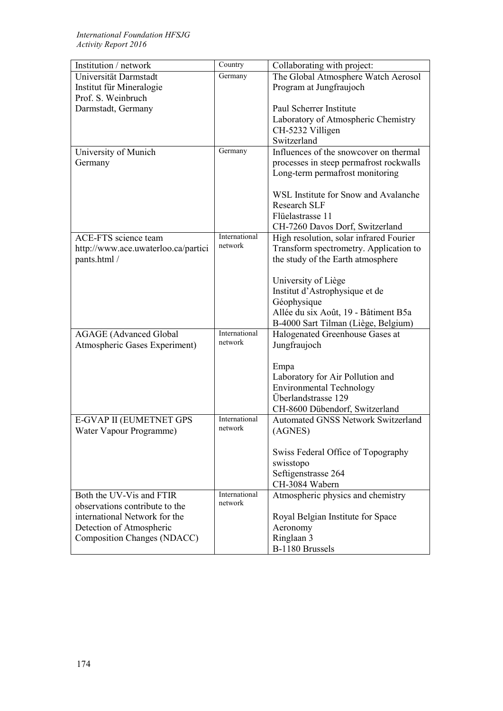| Institution / network               | Country       | Collaborating with project:               |
|-------------------------------------|---------------|-------------------------------------------|
| Universität Darmstadt               | Germany       | The Global Atmosphere Watch Aerosol       |
| Institut für Mineralogie            |               | Program at Jungfraujoch                   |
| Prof. S. Weinbruch                  |               |                                           |
| Darmstadt, Germany                  |               | Paul Scherrer Institute                   |
|                                     |               | Laboratory of Atmospheric Chemistry       |
|                                     |               | CH-5232 Villigen                          |
|                                     |               | Switzerland                               |
| University of Munich                | Germany       | Influences of the snowcover on thermal    |
| Germany                             |               | processes in steep permafrost rockwalls   |
|                                     |               | Long-term permafrost monitoring           |
|                                     |               |                                           |
|                                     |               | WSL Institute for Snow and Avalanche      |
|                                     |               | <b>Research SLF</b>                       |
|                                     |               | Flüelastrasse 11                          |
|                                     |               | CH-7260 Davos Dorf, Switzerland           |
| <b>ACE-FTS</b> science team         | International | High resolution, solar infrared Fourier   |
| http://www.ace.uwaterloo.ca/partici | network       | Transform spectrometry. Application to    |
| pants.html /                        |               | the study of the Earth atmosphere         |
|                                     |               |                                           |
|                                     |               | University of Liège                       |
|                                     |               | Institut d'Astrophysique et de            |
|                                     |               | Géophysique                               |
|                                     |               | Allée du six Août, 19 - Bâtiment B5a      |
|                                     |               | B-4000 Sart Tilman (Liège, Belgium)       |
| <b>AGAGE</b> (Advanced Global       | International | Halogenated Greenhouse Gases at           |
| Atmospheric Gases Experiment)       | network       | Jungfraujoch                              |
|                                     |               |                                           |
|                                     |               | Empa                                      |
|                                     |               | Laboratory for Air Pollution and          |
|                                     |               | <b>Environmental Technology</b>           |
|                                     |               | Überlandstrasse 129                       |
|                                     |               | CH-8600 Dübendorf, Switzerland            |
| E-GVAP II (EUMETNET GPS             | International | <b>Automated GNSS Network Switzerland</b> |
| Water Vapour Programme)             | network       | (AGNES)                                   |
|                                     |               |                                           |
|                                     |               | Swiss Federal Office of Topography        |
|                                     |               | swisstopo                                 |
|                                     |               | Seftigenstrasse 264                       |
|                                     |               | CH-3084 Wabern                            |
| Both the UV-Vis and FTIR            | International | Atmospheric physics and chemistry         |
| observations contribute to the      | network       |                                           |
|                                     |               |                                           |
| international Network for the       |               | Royal Belgian Institute for Space         |
| Detection of Atmospheric            |               | Aeronomy                                  |
| Composition Changes (NDACC)         |               | Ringlaan 3                                |
|                                     |               | B-1180 Brussels                           |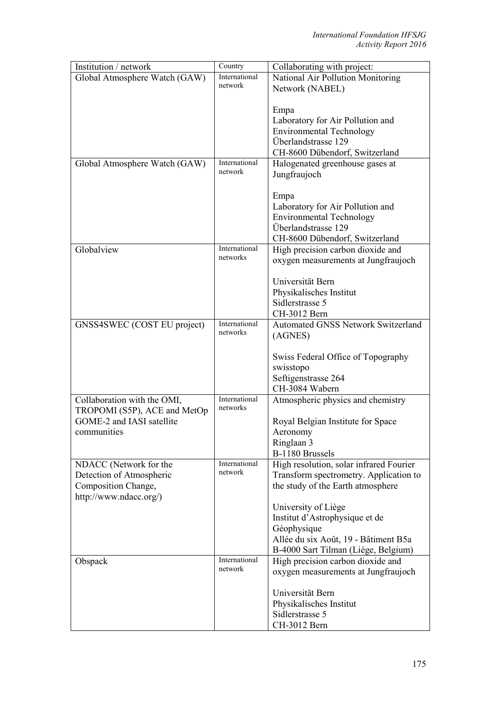| Institution / network         | Country                   | Collaborating with project:               |
|-------------------------------|---------------------------|-------------------------------------------|
| Global Atmosphere Watch (GAW) | International             | National Air Pollution Monitoring         |
|                               | network                   | Network (NABEL)                           |
|                               |                           |                                           |
|                               |                           | Empa                                      |
|                               |                           | Laboratory for Air Pollution and          |
|                               |                           | <b>Environmental Technology</b>           |
|                               |                           | Überlandstrasse 129                       |
|                               |                           | CH-8600 Dübendorf, Switzerland            |
| Global Atmosphere Watch (GAW) | International             | Halogenated greenhouse gases at           |
|                               | network                   | Jungfraujoch                              |
|                               |                           |                                           |
|                               |                           |                                           |
|                               |                           | Empa                                      |
|                               |                           | Laboratory for Air Pollution and          |
|                               |                           | <b>Environmental Technology</b>           |
|                               |                           | Überlandstrasse 129                       |
|                               |                           | CH-8600 Dübendorf, Switzerland            |
| Globalview                    | International<br>networks | High precision carbon dioxide and         |
|                               |                           | oxygen measurements at Jungfraujoch       |
|                               |                           |                                           |
|                               |                           | Universität Bern                          |
|                               |                           | Physikalisches Institut                   |
|                               |                           | Sidlerstrasse 5                           |
|                               |                           | CH-3012 Bern                              |
| GNSS4SWEC (COST EU project)   | International             | <b>Automated GNSS Network Switzerland</b> |
|                               | networks                  | (AGNES)                                   |
|                               |                           |                                           |
|                               |                           | Swiss Federal Office of Topography        |
|                               |                           | swisstopo                                 |
|                               |                           | Seftigenstrasse 264                       |
|                               |                           | CH-3084 Wabern                            |
| Collaboration with the OMI,   | International             | Atmospheric physics and chemistry         |
| TROPOMI (S5P), ACE and MetOp  | networks                  |                                           |
| GOME-2 and IASI satellite     |                           | Royal Belgian Institute for Space         |
| communities                   |                           | Aeronomy                                  |
|                               |                           | Ringlaan 3                                |
|                               |                           | B-1180 Brussels                           |
| NDACC (Network for the        | International             | High resolution, solar infrared Fourier   |
| Detection of Atmospheric      | network                   | Transform spectrometry. Application to    |
|                               |                           |                                           |
| Composition Change,           |                           | the study of the Earth atmosphere         |
| http://www.ndacc.org/)        |                           |                                           |
|                               |                           | University of Liège                       |
|                               |                           | Institut d'Astrophysique et de            |
|                               |                           | Géophysique                               |
|                               |                           | Allée du six Août, 19 - Bâtiment B5a      |
|                               |                           | B-4000 Sart Tilman (Liège, Belgium)       |
| Obspack                       | International             | High precision carbon dioxide and         |
|                               | network                   | oxygen measurements at Jungfraujoch       |
|                               |                           |                                           |
|                               |                           | Universität Bern                          |
|                               |                           | Physikalisches Institut                   |
|                               |                           | Sidlerstrasse 5                           |
|                               |                           | CH-3012 Bern                              |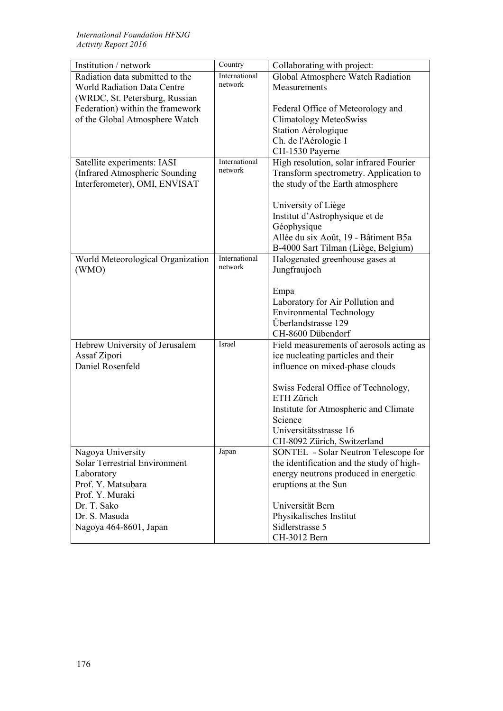| Institution / network              | Country       | Collaborating with project:               |
|------------------------------------|---------------|-------------------------------------------|
| Radiation data submitted to the    | International | Global Atmosphere Watch Radiation         |
| <b>World Radiation Data Centre</b> | network       | Measurements                              |
| (WRDC, St. Petersburg, Russian     |               |                                           |
| Federation) within the framework   |               | Federal Office of Meteorology and         |
| of the Global Atmosphere Watch     |               | <b>Climatology MeteoSwiss</b>             |
|                                    |               | Station Aérologique                       |
|                                    |               | Ch. de l'Aérologie 1                      |
|                                    |               | CH-1530 Payerne                           |
| Satellite experiments: IASI        | International | High resolution, solar infrared Fourier   |
| (Infrared Atmospheric Sounding     | network       | Transform spectrometry. Application to    |
| Interferometer), OMI, ENVISAT      |               | the study of the Earth atmosphere         |
|                                    |               |                                           |
|                                    |               | University of Liège                       |
|                                    |               | Institut d'Astrophysique et de            |
|                                    |               | Géophysique                               |
|                                    |               | Allée du six Août, 19 - Bâtiment B5a      |
|                                    |               | B-4000 Sart Tilman (Liège, Belgium)       |
| World Meteorological Organization  | International | Halogenated greenhouse gases at           |
| (WMO)                              | network       | Jungfraujoch                              |
|                                    |               |                                           |
|                                    |               | Empa                                      |
|                                    |               | Laboratory for Air Pollution and          |
|                                    |               | <b>Environmental Technology</b>           |
|                                    |               | Überlandstrasse 129                       |
|                                    |               | CH-8600 Dübendorf                         |
| Hebrew University of Jerusalem     | Israel        | Field measurements of aerosols acting as  |
| Assaf Zipori                       |               | ice nucleating particles and their        |
| Daniel Rosenfeld                   |               | influence on mixed-phase clouds           |
|                                    |               |                                           |
|                                    |               | Swiss Federal Office of Technology,       |
|                                    |               | ETH Zürich                                |
|                                    |               | Institute for Atmospheric and Climate     |
|                                    |               | Science                                   |
|                                    |               | Universitätsstrasse 16                    |
|                                    |               | CH-8092 Zürich, Switzerland               |
| Nagoya University                  | Japan         | SONTEL - Solar Neutron Telescope for      |
| Solar Terrestrial Environment      |               | the identification and the study of high- |
| Laboratory                         |               | energy neutrons produced in energetic     |
| Prof. Y. Matsubara                 |               | eruptions at the Sun                      |
| Prof. Y. Muraki                    |               |                                           |
| Dr. T. Sako                        |               | Universität Bern                          |
| Dr. S. Masuda                      |               | Physikalisches Institut                   |
| Nagoya 464-8601, Japan             |               | Sidlerstrasse 5                           |
|                                    |               | CH-3012 Bern                              |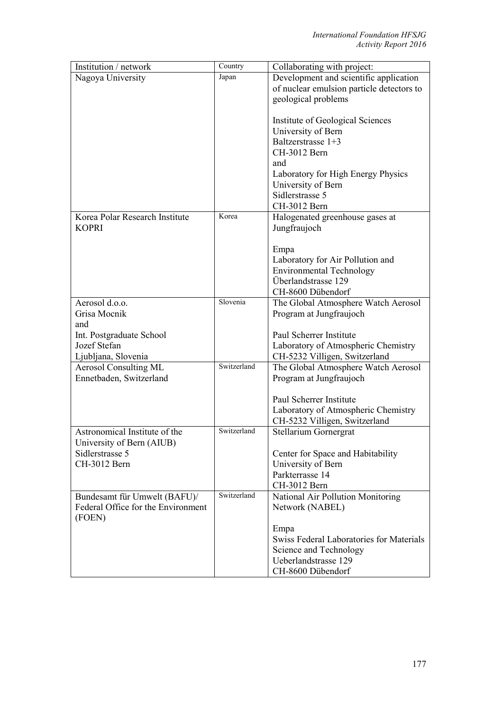| Institution / network                        | Country     | Collaborating with project:               |
|----------------------------------------------|-------------|-------------------------------------------|
| Nagoya University                            | Japan       | Development and scientific application    |
|                                              |             | of nuclear emulsion particle detectors to |
|                                              |             | geological problems                       |
|                                              |             |                                           |
|                                              |             | Institute of Geological Sciences          |
|                                              |             | University of Bern                        |
|                                              |             | Baltzerstrasse $1+3$                      |
|                                              |             | CH-3012 Bern                              |
|                                              |             | and                                       |
|                                              |             | Laboratory for High Energy Physics        |
|                                              |             | University of Bern                        |
|                                              |             | Sidlerstrasse 5                           |
|                                              |             | CH-3012 Bern                              |
| Korea Polar Research Institute               | Korea       | Halogenated greenhouse gases at           |
| <b>KOPRI</b>                                 |             | Jungfraujoch                              |
|                                              |             |                                           |
|                                              |             | Empa                                      |
|                                              |             | Laboratory for Air Pollution and          |
|                                              |             | <b>Environmental Technology</b>           |
|                                              |             | Überlandstrasse 129                       |
|                                              |             | CH-8600 Dübendorf                         |
| Aerosol d.o.o.                               | Slovenia    | The Global Atmosphere Watch Aerosol       |
| Grisa Mocnik                                 |             | Program at Jungfraujoch                   |
| and                                          |             |                                           |
| Int. Postgraduate School                     |             | Paul Scherrer Institute                   |
| Jozef Stefan                                 |             | Laboratory of Atmospheric Chemistry       |
| Ljubljana, Slovenia                          | Switzerland | CH-5232 Villigen, Switzerland             |
| <b>Aerosol Consulting ML</b>                 |             | The Global Atmosphere Watch Aerosol       |
| Ennetbaden, Switzerland                      |             | Program at Jungfraujoch                   |
|                                              |             |                                           |
|                                              |             | Paul Scherrer Institute                   |
|                                              |             | Laboratory of Atmospheric Chemistry       |
| Astronomical Institute of the                | Switzerland | CH-5232 Villigen, Switzerland             |
|                                              |             | Stellarium Gornergrat                     |
| University of Bern (AIUB)<br>Sidlerstrasse 5 |             | Center for Space and Habitability         |
| CH-3012 Bern                                 |             |                                           |
|                                              |             | University of Bern<br>Parkterrasse 14     |
|                                              |             | CH-3012 Bern                              |
| Bundesamt für Umwelt (BAFU)/                 | Switzerland | National Air Pollution Monitoring         |
| Federal Office for the Environment           |             | Network (NABEL)                           |
| (FOEN)                                       |             |                                           |
|                                              |             | Empa                                      |
|                                              |             | Swiss Federal Laboratories for Materials  |
|                                              |             | Science and Technology                    |
|                                              |             | Ueberlandstrasse 129                      |
|                                              |             | CH-8600 Dübendorf                         |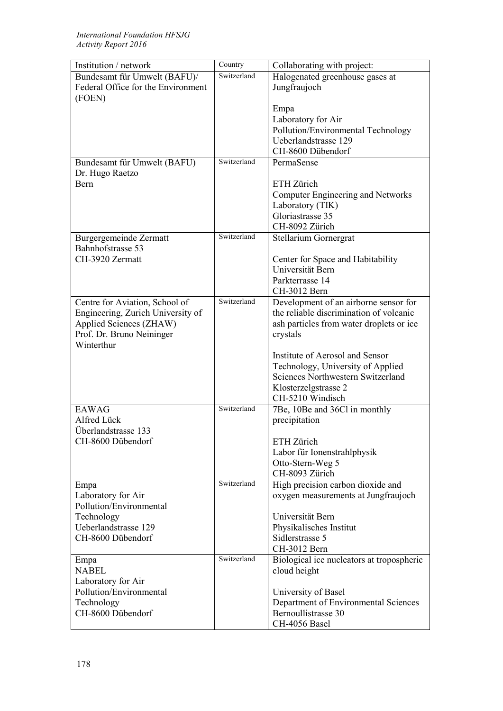| Institution / network              | Country     | Collaborating with project:               |
|------------------------------------|-------------|-------------------------------------------|
| Bundesamt für Umwelt (BAFU)/       | Switzerland | Halogenated greenhouse gases at           |
| Federal Office for the Environment |             | Jungfraujoch                              |
| (FOEN)                             |             |                                           |
|                                    |             | Empa                                      |
|                                    |             | Laboratory for Air                        |
|                                    |             | Pollution/Environmental Technology        |
|                                    |             | Ueberlandstrasse 129                      |
|                                    |             | CH-8600 Dübendorf                         |
| Bundesamt für Umwelt (BAFU)        | Switzerland | PermaSense                                |
| Dr. Hugo Raetzo                    |             |                                           |
| <b>Bern</b>                        |             | ETH Zürich                                |
|                                    |             | Computer Engineering and Networks         |
|                                    |             | Laboratory (TIK)                          |
|                                    |             | Gloriastrasse 35                          |
|                                    |             | CH-8092 Zürich                            |
| Burgergemeinde Zermatt             | Switzerland | Stellarium Gornergrat                     |
| Bahnhofstrasse 53                  |             |                                           |
| CH-3920 Zermatt                    |             | Center for Space and Habitability         |
|                                    |             | Universität Bern                          |
|                                    |             | Parkterrasse 14                           |
|                                    |             | CH-3012 Bern                              |
| Centre for Aviation, School of     | Switzerland | Development of an airborne sensor for     |
| Engineering, Zurich University of  |             | the reliable discrimination of volcanic   |
| Applied Sciences (ZHAW)            |             | ash particles from water droplets or ice  |
| Prof. Dr. Bruno Neininger          |             | crystals                                  |
| Winterthur                         |             |                                           |
|                                    |             | Institute of Aerosol and Sensor           |
|                                    |             | Technology, University of Applied         |
|                                    |             | Sciences Northwestern Switzerland         |
|                                    |             | Klosterzelgstrasse 2                      |
|                                    |             | CH-5210 Windisch                          |
| <b>EAWAG</b>                       | Switzerland | 7Be, 10Be and 36Cl in monthly             |
| Alfred Lück                        |             | precipitation                             |
| Überlandstrasse 133                |             |                                           |
| CH-8600 Dübendorf                  |             | ETH Zürich                                |
|                                    |             | Labor für Ionenstrahlphysik               |
|                                    |             | Otto-Stern-Weg 5                          |
|                                    |             | CH-8093 Zürich                            |
| Empa                               | Switzerland | High precision carbon dioxide and         |
| Laboratory for Air                 |             | oxygen measurements at Jungfraujoch       |
| Pollution/Environmental            |             |                                           |
| Technology                         |             | Universität Bern                          |
| Ueberlandstrasse 129               |             | Physikalisches Institut                   |
| CH-8600 Dübendorf                  |             | Sidlerstrasse 5                           |
|                                    |             | CH-3012 Bern                              |
| Empa                               | Switzerland | Biological ice nucleators at tropospheric |
| <b>NABEL</b>                       |             | cloud height                              |
| Laboratory for Air                 |             |                                           |
| Pollution/Environmental            |             | University of Basel                       |
| Technology                         |             | Department of Environmental Sciences      |
| CH-8600 Dübendorf                  |             | Bernoullistrasse 30                       |
|                                    |             | CH-4056 Basel                             |
|                                    |             |                                           |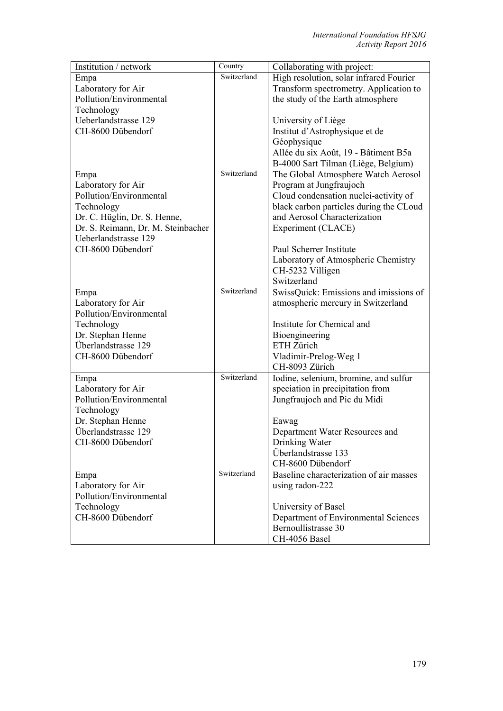| Institution / network              | Country     | Collaborating with project:             |
|------------------------------------|-------------|-----------------------------------------|
| Empa                               | Switzerland | High resolution, solar infrared Fourier |
| Laboratory for Air                 |             | Transform spectrometry. Application to  |
| Pollution/Environmental            |             | the study of the Earth atmosphere       |
| Technology                         |             |                                         |
| Ueberlandstrasse 129               |             | University of Liège                     |
| CH-8600 Dübendorf                  |             | Institut d'Astrophysique et de          |
|                                    |             | Géophysique                             |
|                                    |             | Allée du six Août, 19 - Bâtiment B5a    |
|                                    |             | B-4000 Sart Tilman (Liège, Belgium)     |
| Empa                               | Switzerland | The Global Atmosphere Watch Aerosol     |
| Laboratory for Air                 |             | Program at Jungfraujoch                 |
| Pollution/Environmental            |             | Cloud condensation nuclei-activity of   |
| Technology                         |             | black carbon particles during the CLoud |
| Dr. C. Hüglin, Dr. S. Henne,       |             | and Aerosol Characterization            |
| Dr. S. Reimann, Dr. M. Steinbacher |             | Experiment (CLACE)                      |
| Ueberlandstrasse 129               |             |                                         |
| CH-8600 Dübendorf                  |             | Paul Scherrer Institute                 |
|                                    |             | Laboratory of Atmospheric Chemistry     |
|                                    |             | CH-5232 Villigen                        |
|                                    |             | Switzerland                             |
| Empa                               | Switzerland | SwissQuick: Emissions and imissions of  |
| Laboratory for Air                 |             | atmospheric mercury in Switzerland      |
| Pollution/Environmental            |             |                                         |
| Technology                         |             | Institute for Chemical and              |
| Dr. Stephan Henne                  |             | Bioengineering                          |
| Überlandstrasse 129                |             | ETH Zürich                              |
| CH-8600 Dübendorf                  |             | Vladimir-Prelog-Weg 1                   |
|                                    |             | CH-8093 Zürich                          |
| Empa                               | Switzerland | Iodine, selenium, bromine, and sulfur   |
| Laboratory for Air                 |             | speciation in precipitation from        |
| Pollution/Environmental            |             | Jungfraujoch and Pic du Midi            |
| Technology                         |             |                                         |
| Dr. Stephan Henne                  |             | Eawag                                   |
| Überlandstrasse 129                |             | Department Water Resources and          |
| CH-8600 Dübendorf                  |             | Drinking Water                          |
|                                    |             | Überlandstrasse 133                     |
|                                    |             | CH-8600 Dübendorf                       |
| Empa                               | Switzerland | Baseline characterization of air masses |
| Laboratory for Air                 |             | using radon-222                         |
| Pollution/Environmental            |             |                                         |
| Technology                         |             | University of Basel                     |
| CH-8600 Dübendorf                  |             | Department of Environmental Sciences    |
|                                    |             | Bernoullistrasse 30                     |
|                                    |             | CH-4056 Basel                           |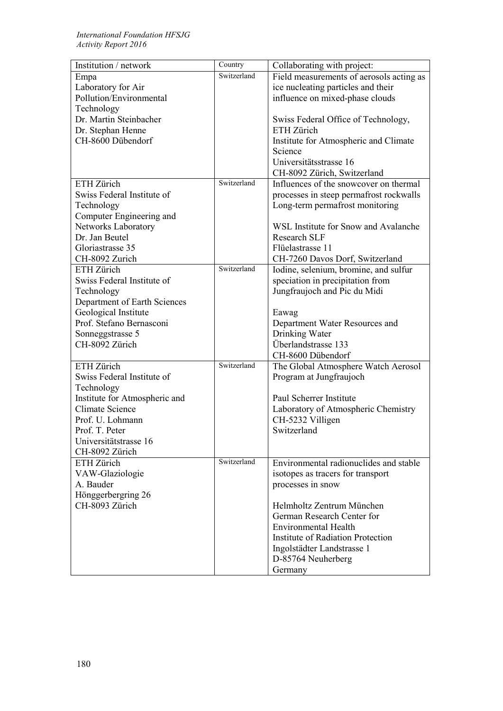| Institution / network         | Country     | Collaborating with project:              |
|-------------------------------|-------------|------------------------------------------|
| Empa                          | Switzerland | Field measurements of aerosols acting as |
| Laboratory for Air            |             | ice nucleating particles and their       |
| Pollution/Environmental       |             | influence on mixed-phase clouds          |
| Technology                    |             |                                          |
| Dr. Martin Steinbacher        |             | Swiss Federal Office of Technology,      |
| Dr. Stephan Henne             |             | ETH Zürich                               |
| CH-8600 Dübendorf             |             | Institute for Atmospheric and Climate    |
|                               |             | Science                                  |
|                               |             | Universitätsstrasse 16                   |
|                               |             | CH-8092 Zürich, Switzerland              |
| ETH Zürich                    | Switzerland | Influences of the snowcover on thermal   |
| Swiss Federal Institute of    |             | processes in steep permafrost rockwalls  |
| Technology                    |             | Long-term permafrost monitoring          |
| Computer Engineering and      |             |                                          |
| Networks Laboratory           |             | WSL Institute for Snow and Avalanche     |
| Dr. Jan Beutel                |             | <b>Research SLF</b>                      |
| Gloriastrasse 35              |             | Flüelastrasse 11                         |
| CH-8092 Zurich                |             | CH-7260 Davos Dorf, Switzerland          |
| ETH Zürich                    | Switzerland | Iodine, selenium, bromine, and sulfur    |
| Swiss Federal Institute of    |             | speciation in precipitation from         |
| Technology                    |             | Jungfraujoch and Pic du Midi             |
| Department of Earth Sciences  |             |                                          |
| Geological Institute          |             | Eawag                                    |
| Prof. Stefano Bernasconi      |             | Department Water Resources and           |
| Sonneggstrasse 5              |             | Drinking Water                           |
| CH-8092 Zürich                |             | Überlandstrasse 133                      |
|                               |             | CH-8600 Dübendorf                        |
| ETH Zürich                    | Switzerland | The Global Atmosphere Watch Aerosol      |
| Swiss Federal Institute of    |             | Program at Jungfraujoch                  |
| Technology                    |             |                                          |
| Institute for Atmospheric and |             | Paul Scherrer Institute                  |
| <b>Climate Science</b>        |             | Laboratory of Atmospheric Chemistry      |
| Prof. U. Lohmann              |             | CH-5232 Villigen                         |
| Prof. T. Peter                |             | Switzerland                              |
| Universitätstrasse 16         |             |                                          |
| CH-8092 Zürich                |             |                                          |
| ETH Zürich                    | Switzerland | Environmental radionuclides and stable   |
|                               |             |                                          |
| VAW-Glaziologie<br>A. Bauder  |             | isotopes as tracers for transport        |
|                               |             | processes in snow                        |
| Hönggerbergring 26            |             |                                          |
| CH-8093 Zürich                |             | Helmholtz Zentrum München                |
|                               |             | German Research Center for               |
|                               |             | <b>Environmental Health</b>              |
|                               |             | Institute of Radiation Protection        |
|                               |             | Ingolstädter Landstrasse 1               |
|                               |             | D-85764 Neuherberg                       |
|                               |             | Germany                                  |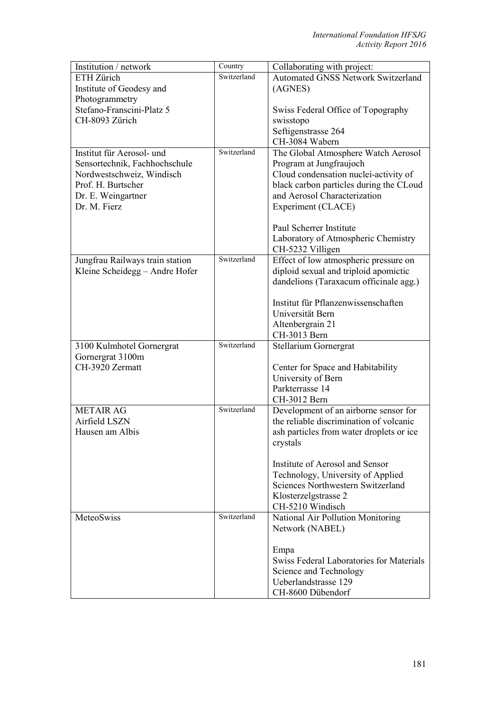| Institution / network           | Country     | Collaborating with project:                    |
|---------------------------------|-------------|------------------------------------------------|
| ETH Zürich                      | Switzerland | <b>Automated GNSS Network Switzerland</b>      |
| Institute of Geodesy and        |             | (AGNES)                                        |
| Photogrammetry                  |             |                                                |
| Stefano-Franscini-Platz 5       |             | Swiss Federal Office of Topography             |
| CH-8093 Zürich                  |             | swisstopo                                      |
|                                 |             | Seftigenstrasse 264                            |
|                                 |             | CH-3084 Wabern                                 |
| Institut für Aerosol- und       | Switzerland | The Global Atmosphere Watch Aerosol            |
| Sensortechnik, Fachhochschule   |             | Program at Jungfraujoch                        |
| Nordwestschweiz, Windisch       |             | Cloud condensation nuclei-activity of          |
| Prof. H. Burtscher              |             | black carbon particles during the CLoud        |
| Dr. E. Weingartner              |             | and Aerosol Characterization                   |
| Dr. M. Fierz                    |             | Experiment (CLACE)                             |
|                                 |             | Paul Scherrer Institute                        |
|                                 |             | Laboratory of Atmospheric Chemistry            |
|                                 |             | CH-5232 Villigen                               |
| Jungfrau Railways train station | Switzerland | Effect of low atmospheric pressure on          |
| Kleine Scheidegg - Andre Hofer  |             | diploid sexual and triploid apomictic          |
|                                 |             | dandelions (Taraxacum officinale agg.)         |
|                                 |             | Institut für Pflanzenwissenschaften            |
|                                 |             | Universität Bern                               |
|                                 |             | Altenbergrain 21                               |
|                                 |             | CH-3013 Bern                                   |
| 3100 Kulmhotel Gornergrat       | Switzerland | Stellarium Gornergrat                          |
| Gornergrat 3100m                |             |                                                |
| CH-3920 Zermatt                 |             | Center for Space and Habitability              |
|                                 |             | University of Bern                             |
|                                 |             | Parkterrasse 14                                |
|                                 |             | CH-3012 Bern                                   |
| <b>METAIR AG</b>                | Switzerland | Development of an airborne sensor for          |
| Airfield LSZN                   |             | the reliable discrimination of volcanic        |
| Hausen am Albis                 |             | ash particles from water droplets or ice       |
|                                 |             | crystals                                       |
|                                 |             | Institute of Aerosol and Sensor                |
|                                 |             | Technology, University of Applied              |
|                                 |             | Sciences Northwestern Switzerland              |
|                                 |             | Klosterzelgstrasse 2                           |
|                                 |             | CH-5210 Windisch                               |
| MeteoSwiss                      | Switzerland | National Air Pollution Monitoring              |
|                                 |             | Network (NABEL)                                |
|                                 |             |                                                |
|                                 |             | Empa                                           |
|                                 |             | Swiss Federal Laboratories for Materials       |
|                                 |             | Science and Technology<br>Ueberlandstrasse 129 |
|                                 |             |                                                |
|                                 |             | CH-8600 Dübendorf                              |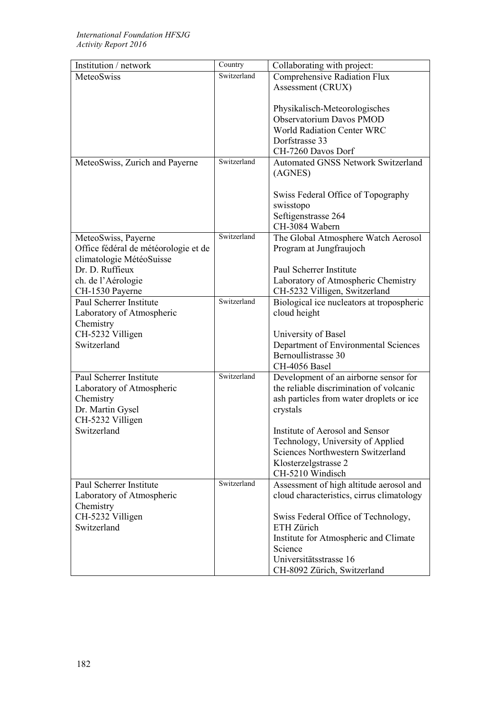| Institution / network                | Country     | Collaborating with project:                                            |
|--------------------------------------|-------------|------------------------------------------------------------------------|
| MeteoSwiss                           | Switzerland | Comprehensive Radiation Flux                                           |
|                                      |             | Assessment (CRUX)                                                      |
|                                      |             |                                                                        |
|                                      |             | Physikalisch-Meteorologisches                                          |
|                                      |             | <b>Observatorium Davos PMOD</b>                                        |
|                                      |             | <b>World Radiation Center WRC</b>                                      |
|                                      |             | Dorfstrasse 33                                                         |
|                                      |             | CH-7260 Davos Dorf                                                     |
|                                      | Switzerland | <b>Automated GNSS Network Switzerland</b>                              |
| MeteoSwiss, Zurich and Payerne       |             |                                                                        |
|                                      |             | (AGNES)                                                                |
|                                      |             |                                                                        |
|                                      |             | Swiss Federal Office of Topography                                     |
|                                      |             | swisstopo                                                              |
|                                      |             | Seftigenstrasse 264                                                    |
|                                      |             | CH-3084 Wabern                                                         |
| MeteoSwiss, Payerne                  | Switzerland | The Global Atmosphere Watch Aerosol                                    |
| Office fédéral de météorologie et de |             | Program at Jungfraujoch                                                |
| climatologie MétéoSuisse             |             |                                                                        |
| Dr. D. Ruffieux                      |             | Paul Scherrer Institute                                                |
| ch. de l'Aérologie                   |             | Laboratory of Atmospheric Chemistry                                    |
| CH-1530 Payerne                      |             | CH-5232 Villigen, Switzerland                                          |
| Paul Scherrer Institute              | Switzerland | Biological ice nucleators at tropospheric                              |
| Laboratory of Atmospheric            |             | cloud height                                                           |
| Chemistry                            |             |                                                                        |
| CH-5232 Villigen                     |             | University of Basel                                                    |
| Switzerland                          |             | Department of Environmental Sciences                                   |
|                                      |             | Bernoullistrasse 30                                                    |
|                                      |             | CH-4056 Basel                                                          |
| Paul Scherrer Institute              | Switzerland | Development of an airborne sensor for                                  |
| Laboratory of Atmospheric            |             | the reliable discrimination of volcanic                                |
| Chemistry                            |             | ash particles from water droplets or ice                               |
| Dr. Martin Gysel                     |             | crystals                                                               |
| CH-5232 Villigen                     |             |                                                                        |
| Switzerland                          |             | Institute of Aerosol and Sensor                                        |
|                                      |             |                                                                        |
|                                      |             | Technology, University of Applied<br>Sciences Northwestern Switzerland |
|                                      |             |                                                                        |
|                                      |             | Klosterzelgstrasse 2                                                   |
|                                      |             | CH-5210 Windisch                                                       |
| Paul Scherrer Institute              | Switzerland | Assessment of high altitude aerosol and                                |
| Laboratory of Atmospheric            |             | cloud characteristics, cirrus climatology                              |
| Chemistry                            |             |                                                                        |
| CH-5232 Villigen                     |             | Swiss Federal Office of Technology,                                    |
| Switzerland                          |             | ETH Zürich                                                             |
|                                      |             | Institute for Atmospheric and Climate                                  |
|                                      |             | Science                                                                |
|                                      |             | Universitätsstrasse 16                                                 |
|                                      |             | CH-8092 Zürich, Switzerland                                            |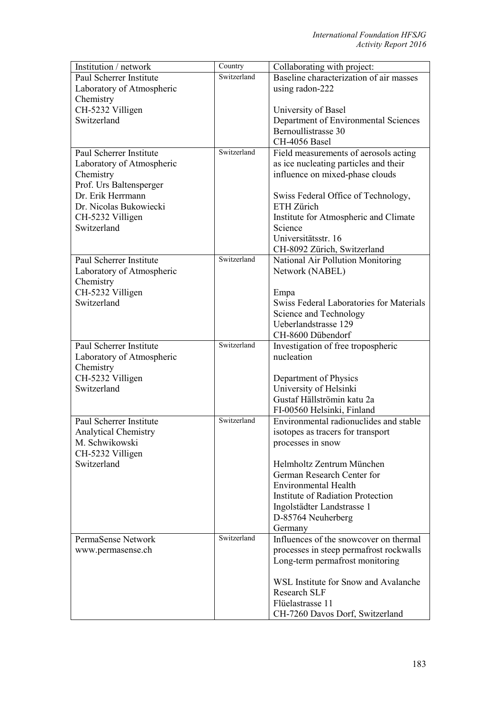| Institution / network       | Country     | Collaborating with project:                     |
|-----------------------------|-------------|-------------------------------------------------|
| Paul Scherrer Institute     | Switzerland | Baseline characterization of air masses         |
| Laboratory of Atmospheric   |             | using radon-222                                 |
| Chemistry                   |             |                                                 |
| CH-5232 Villigen            |             | University of Basel                             |
| Switzerland                 |             | Department of Environmental Sciences            |
|                             |             | Bernoullistrasse 30                             |
|                             |             | CH-4056 Basel                                   |
| Paul Scherrer Institute     | Switzerland | Field measurements of aerosols acting           |
| Laboratory of Atmospheric   |             | as ice nucleating particles and their           |
| Chemistry                   |             | influence on mixed-phase clouds                 |
| Prof. Urs Baltensperger     |             |                                                 |
| Dr. Erik Herrmann           |             | Swiss Federal Office of Technology,             |
| Dr. Nicolas Bukowiecki      |             | ETH Zürich                                      |
| CH-5232 Villigen            |             | Institute for Atmospheric and Climate           |
| Switzerland                 |             | Science                                         |
|                             |             | Universitätsstr. 16                             |
|                             |             | CH-8092 Zürich, Switzerland                     |
| Paul Scherrer Institute     | Switzerland | National Air Pollution Monitoring               |
| Laboratory of Atmospheric   |             | Network (NABEL)                                 |
| Chemistry                   |             |                                                 |
| CH-5232 Villigen            |             | Empa                                            |
| Switzerland                 |             | <b>Swiss Federal Laboratories for Materials</b> |
|                             |             | Science and Technology                          |
|                             |             | Ueberlandstrasse 129                            |
|                             |             | CH-8600 Dübendorf                               |
| Paul Scherrer Institute     | Switzerland | Investigation of free tropospheric              |
| Laboratory of Atmospheric   |             | nucleation                                      |
| Chemistry                   |             |                                                 |
| CH-5232 Villigen            |             | Department of Physics                           |
| Switzerland                 |             | University of Helsinki                          |
|                             |             | Gustaf Hällströmin katu 2a                      |
|                             |             | FI-00560 Helsinki, Finland                      |
| Paul Scherrer Institute     | Switzerland | Environmental radionuclides and stable          |
| <b>Analytical Chemistry</b> |             | isotopes as tracers for transport               |
| M. Schwikowski              |             | processes in snow                               |
| CH-5232 Villigen            |             |                                                 |
| Switzerland                 |             | Helmholtz Zentrum München                       |
|                             |             | German Research Center for                      |
|                             |             | <b>Environmental Health</b>                     |
|                             |             | Institute of Radiation Protection               |
|                             |             | Ingolstädter Landstrasse 1                      |
|                             |             | D-85764 Neuherberg                              |
|                             |             | Germany                                         |
| PermaSense Network          | Switzerland | Influences of the snowcover on thermal          |
| www.permasense.ch           |             | processes in steep permafrost rockwalls         |
|                             |             | Long-term permafrost monitoring                 |
|                             |             | WSL Institute for Snow and Avalanche            |
|                             |             | Research SLF                                    |
|                             |             | Flüelastrasse 11                                |
|                             |             | CH-7260 Davos Dorf, Switzerland                 |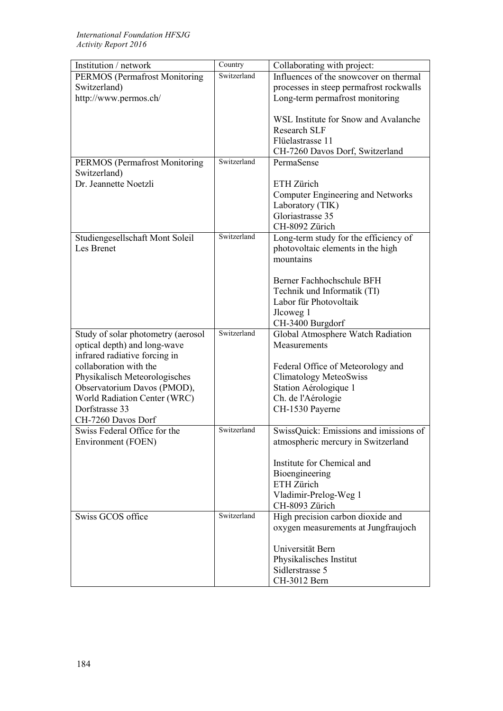| Institution / network                | Country     | Collaborating with project:             |
|--------------------------------------|-------------|-----------------------------------------|
| <b>PERMOS</b> (Permafrost Monitoring | Switzerland | Influences of the snowcover on thermal  |
| Switzerland)                         |             | processes in steep permafrost rockwalls |
| http://www.permos.ch/                |             | Long-term permafrost monitoring         |
|                                      |             |                                         |
|                                      |             | WSL Institute for Snow and Avalanche    |
|                                      |             | <b>Research SLF</b>                     |
|                                      |             | Flüelastrasse 11                        |
|                                      |             | CH-7260 Davos Dorf, Switzerland         |
| PERMOS (Permafrost Monitoring        | Switzerland | PermaSense                              |
| Switzerland)                         |             |                                         |
| Dr. Jeannette Noetzli                |             | ETH Zürich                              |
|                                      |             | Computer Engineering and Networks       |
|                                      |             | Laboratory (TIK)                        |
|                                      |             | Gloriastrasse 35                        |
|                                      |             | CH-8092 Zürich                          |
| Studiengesellschaft Mont Soleil      | Switzerland | Long-term study for the efficiency of   |
| Les Brenet                           |             | photovoltaic elements in the high       |
|                                      |             | mountains                               |
|                                      |             |                                         |
|                                      |             | Berner Fachhochschule BFH               |
|                                      |             | Technik und Informatik (TI)             |
|                                      |             | Labor für Photovoltaik                  |
|                                      |             | Jlcoweg 1                               |
|                                      |             | CH-3400 Burgdorf                        |
| Study of solar photometry (aerosol   | Switzerland | Global Atmosphere Watch Radiation       |
| optical depth) and long-wave         |             | Measurements                            |
| infrared radiative forcing in        |             |                                         |
| collaboration with the               |             | Federal Office of Meteorology and       |
| Physikalisch Meteorologisches        |             | <b>Climatology MeteoSwiss</b>           |
| Observatorium Davos (PMOD),          |             | Station Aérologique 1                   |
| World Radiation Center (WRC)         |             | Ch. de l'Aérologie                      |
| Dorfstrasse 33                       |             | CH-1530 Payerne                         |
| CH-7260 Davos Dorf                   |             |                                         |
| Swiss Federal Office for the         | Switzerland | SwissQuick: Emissions and imissions of  |
| Environment (FOEN)                   |             | atmospheric mercury in Switzerland      |
|                                      |             |                                         |
|                                      |             | Institute for Chemical and              |
|                                      |             | Bioengineering                          |
|                                      |             | ETH Zürich                              |
|                                      |             | Vladimir-Prelog-Weg 1                   |
| Swiss GCOS office                    | Switzerland | CH-8093 Zürich                          |
|                                      |             | High precision carbon dioxide and       |
|                                      |             | oxygen measurements at Jungfraujoch     |
|                                      |             | Universität Bern                        |
|                                      |             |                                         |
|                                      |             | Physikalisches Institut                 |
|                                      |             | Sidlerstrasse 5                         |
|                                      |             | CH-3012 Bern                            |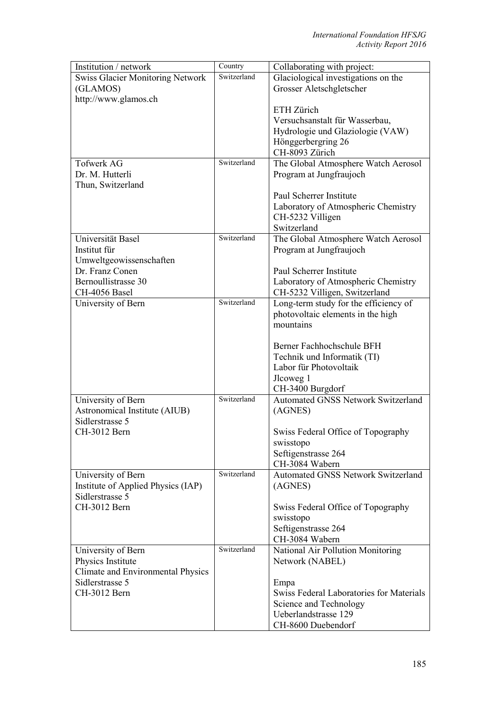| Institution / network                   | Country     | Collaborating with project:               |
|-----------------------------------------|-------------|-------------------------------------------|
| <b>Swiss Glacier Monitoring Network</b> | Switzerland | Glaciological investigations on the       |
| (GLAMOS)                                |             | Grosser Aletschgletscher                  |
| http://www.glamos.ch                    |             |                                           |
|                                         |             | ETH Zürich                                |
|                                         |             | Versuchsanstalt für Wasserbau,            |
|                                         |             | Hydrologie und Glaziologie (VAW)          |
|                                         |             | Hönggerbergring 26                        |
|                                         |             | CH-8093 Zürich                            |
| <b>Tofwerk AG</b>                       | Switzerland | The Global Atmosphere Watch Aerosol       |
| Dr. M. Hutterli                         |             | Program at Jungfraujoch                   |
| Thun, Switzerland                       |             |                                           |
|                                         |             | Paul Scherrer Institute                   |
|                                         |             | Laboratory of Atmospheric Chemistry       |
|                                         |             | CH-5232 Villigen                          |
|                                         |             | Switzerland                               |
| Universität Basel                       | Switzerland | The Global Atmosphere Watch Aerosol       |
| Institut für                            |             | Program at Jungfraujoch                   |
| Umweltgeowissenschaften                 |             |                                           |
| Dr. Franz Conen                         |             | Paul Scherrer Institute                   |
| Bernoullistrasse 30                     |             | Laboratory of Atmospheric Chemistry       |
| CH-4056 Basel                           |             | CH-5232 Villigen, Switzerland             |
| University of Bern                      | Switzerland | Long-term study for the efficiency of     |
|                                         |             | photovoltaic elements in the high         |
|                                         |             | mountains                                 |
|                                         |             |                                           |
|                                         |             | Berner Fachhochschule BFH                 |
|                                         |             | Technik und Informatik (TI)               |
|                                         |             | Labor für Photovoltaik                    |
|                                         |             | Jlcoweg 1                                 |
|                                         |             | CH-3400 Burgdorf                          |
| University of Bern                      | Switzerland | <b>Automated GNSS Network Switzerland</b> |
| Astronomical Institute (AIUB)           |             | (AGNES)                                   |
| Sidlerstrasse 5                         |             |                                           |
| CH-3012 Bern                            |             | Swiss Federal Office of Topography        |
|                                         |             | swisstopo                                 |
|                                         |             | Seftigenstrasse 264                       |
|                                         |             | CH-3084 Wabern                            |
| University of Bern                      | Switzerland | <b>Automated GNSS Network Switzerland</b> |
| Institute of Applied Physics (IAP)      |             | (AGNES)                                   |
| Sidlerstrasse 5                         |             |                                           |
| CH-3012 Bern                            |             | Swiss Federal Office of Topography        |
|                                         |             | swisstopo                                 |
|                                         |             | Seftigenstrasse 264                       |
|                                         |             | CH-3084 Wabern                            |
| University of Bern                      | Switzerland | National Air Pollution Monitoring         |
| Physics Institute                       |             | Network (NABEL)                           |
| Climate and Environmental Physics       |             |                                           |
| Sidlerstrasse 5                         |             | Empa                                      |
| CH-3012 Bern                            |             | Swiss Federal Laboratories for Materials  |
|                                         |             | Science and Technology                    |
|                                         |             | Ueberlandstrasse 129                      |
|                                         |             | CH-8600 Duebendorf                        |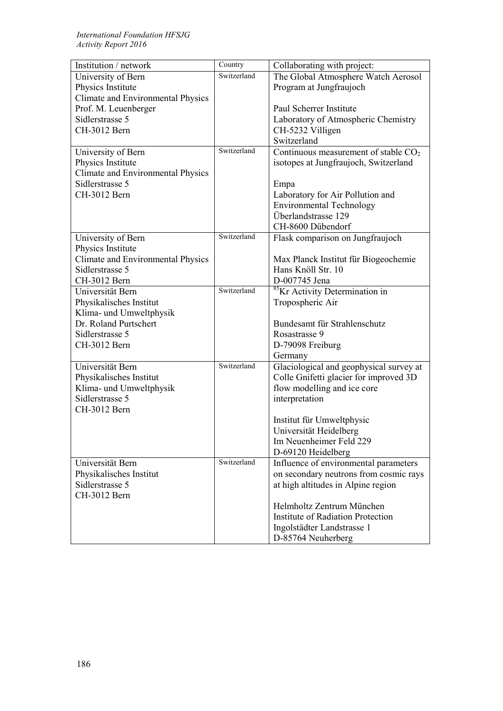| Institution / network                      | Country     | Collaborating with project:                |
|--------------------------------------------|-------------|--------------------------------------------|
| University of Bern                         | Switzerland | The Global Atmosphere Watch Aerosol        |
| Physics Institute                          |             | Program at Jungfraujoch                    |
| <b>Climate and Environmental Physics</b>   |             |                                            |
| Prof. M. Leuenberger                       |             | Paul Scherrer Institute                    |
| Sidlerstrasse 5                            |             | Laboratory of Atmospheric Chemistry        |
| CH-3012 Bern                               |             | CH-5232 Villigen                           |
|                                            |             | Switzerland                                |
| University of Bern                         | Switzerland | Continuous measurement of stable $CO2$     |
| Physics Institute                          |             | isotopes at Jungfraujoch, Switzerland      |
| Climate and Environmental Physics          |             |                                            |
| Sidlerstrasse 5                            |             | Empa                                       |
| CH-3012 Bern                               |             | Laboratory for Air Pollution and           |
|                                            |             | <b>Environmental Technology</b>            |
|                                            |             | Überlandstrasse 129                        |
|                                            |             | CH-8600 Dübendorf                          |
| University of Bern                         | Switzerland | Flask comparison on Jungfraujoch           |
| Physics Institute                          |             |                                            |
| Climate and Environmental Physics          |             | Max Planck Institut für Biogeochemie       |
| Sidlerstrasse 5                            |             | Hans Knöll Str. 10                         |
| CH-3012 Bern                               |             | D-007745 Jena                              |
| Universität Bern                           | Switzerland | <sup>85</sup> Kr Activity Determination in |
| Physikalisches Institut                    |             | Tropospheric Air                           |
| Klima- und Umweltphysik                    |             |                                            |
| Dr. Roland Purtschert                      |             | Bundesamt für Strahlenschutz               |
| Sidlerstrasse 5                            |             | Rosastrasse 9                              |
| CH-3012 Bern                               |             | D-79098 Freiburg                           |
|                                            |             | Germany                                    |
| Universität Bern                           | Switzerland | Glaciological and geophysical survey at    |
|                                            |             |                                            |
| Physikalisches Institut                    |             | Colle Gnifetti glacier for improved 3D     |
| Klima- und Umweltphysik<br>Sidlerstrasse 5 |             | flow modelling and ice core                |
|                                            |             | interpretation                             |
| CH-3012 Bern                               |             |                                            |
|                                            |             | Institut für Umweltphysic                  |
|                                            |             | Universität Heidelberg                     |
|                                            |             | Im Neuenheimer Feld 229                    |
|                                            |             | D-69120 Heidelberg                         |
| Universität Bern                           | Switzerland | Influence of environmental parameters      |
| Physikalisches Institut                    |             | on secondary neutrons from cosmic rays     |
| Sidlerstrasse 5                            |             | at high altitudes in Alpine region         |
| CH-3012 Bern                               |             |                                            |
|                                            |             | Helmholtz Zentrum München                  |
|                                            |             | <b>Institute of Radiation Protection</b>   |
|                                            |             | Ingolstädter Landstrasse 1                 |
|                                            |             | D-85764 Neuherberg                         |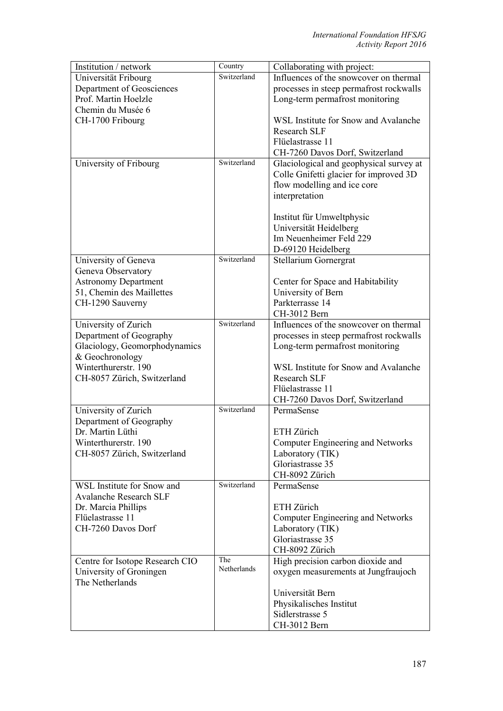| Institution / network           | Country     | Collaborating with project:              |
|---------------------------------|-------------|------------------------------------------|
| Universität Fribourg            | Switzerland | Influences of the snowcover on thermal   |
| Department of Geosciences       |             | processes in steep permafrost rockwalls  |
| Prof. Martin Hoelzle            |             | Long-term permafrost monitoring          |
| Chemin du Musée 6               |             |                                          |
| CH-1700 Fribourg                |             | WSL Institute for Snow and Avalanche     |
|                                 |             | Research SLF                             |
|                                 |             | Flüelastrasse 11                         |
|                                 |             | CH-7260 Davos Dorf, Switzerland          |
| University of Fribourg          | Switzerland | Glaciological and geophysical survey at  |
|                                 |             | Colle Gnifetti glacier for improved 3D   |
|                                 |             | flow modelling and ice core              |
|                                 |             | interpretation                           |
|                                 |             |                                          |
|                                 |             | Institut für Umweltphysic                |
|                                 |             | Universität Heidelberg                   |
|                                 |             | Im Neuenheimer Feld 229                  |
|                                 |             | D-69120 Heidelberg                       |
| University of Geneva            | Switzerland | Stellarium Gornergrat                    |
| Geneva Observatory              |             |                                          |
| <b>Astronomy Department</b>     |             | Center for Space and Habitability        |
| 51, Chemin des Maillettes       |             | University of Bern                       |
| CH-1290 Sauverny                |             | Parkterrasse 14                          |
|                                 |             | CH-3012 Bern                             |
| University of Zurich            | Switzerland | Influences of the snowcover on thermal   |
| Department of Geography         |             | processes in steep permafrost rockwalls  |
| Glaciology, Geomorphodynamics   |             | Long-term permafrost monitoring          |
| & Geochronology                 |             |                                          |
| Winterthurerstr. 190            |             | WSL Institute for Snow and Avalanche     |
| CH-8057 Zürich, Switzerland     |             | <b>Research SLF</b>                      |
|                                 |             | Flüelastrasse 11                         |
|                                 |             | CH-7260 Davos Dorf, Switzerland          |
| University of Zurich            | Switzerland | PermaSense                               |
| Department of Geography         |             |                                          |
| Dr. Martin Lüthi                |             | ETH Zürich                               |
| Winterthurerstr. 190            |             | Computer Engineering and Networks        |
| CH-8057 Zürich, Switzerland     |             | Laboratory (TIK)                         |
|                                 |             | Gloriastrasse 35                         |
|                                 |             | CH-8092 Zürich                           |
| WSL Institute for Snow and      | Switzerland | PermaSense                               |
| <b>Avalanche Research SLF</b>   |             |                                          |
| Dr. Marcia Phillips             |             | ETH Zürich                               |
| Flüelastrasse 11                |             | <b>Computer Engineering and Networks</b> |
| CH-7260 Davos Dorf              |             | Laboratory (TIK)                         |
|                                 |             | Gloriastrasse 35                         |
|                                 |             | CH-8092 Zürich                           |
| Centre for Isotope Research CIO | The         | High precision carbon dioxide and        |
| University of Groningen         | Netherlands | oxygen measurements at Jungfraujoch      |
| The Netherlands                 |             |                                          |
|                                 |             | Universität Bern                         |
|                                 |             | Physikalisches Institut                  |
|                                 |             | Sidlerstrasse 5                          |
|                                 |             | CH-3012 Bern                             |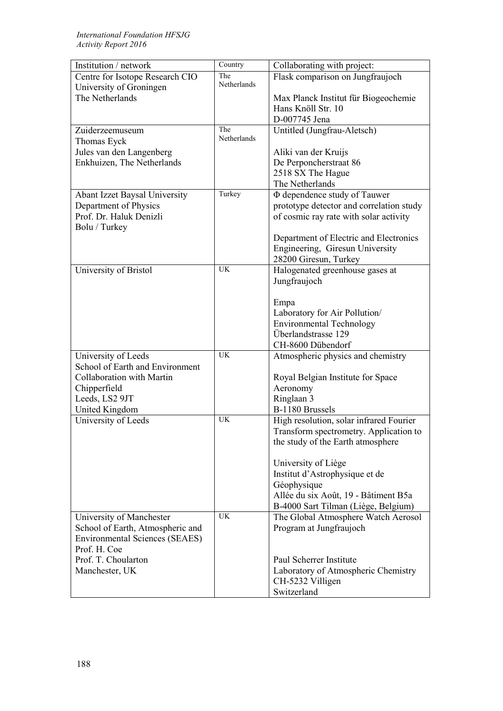| Institution / network                 | Country     | Collaborating with project:                            |
|---------------------------------------|-------------|--------------------------------------------------------|
| Centre for Isotope Research CIO       | The         | Flask comparison on Jungfraujoch                       |
| University of Groningen               | Netherlands |                                                        |
| The Netherlands                       |             | Max Planck Institut für Biogeochemie                   |
|                                       |             | Hans Knöll Str. 10                                     |
|                                       |             | D-007745 Jena                                          |
| Zuiderzeemuseum                       | The         | Untitled (Jungfrau-Aletsch)                            |
| Thomas Eyck                           | Netherlands |                                                        |
| Jules van den Langenberg              |             | Aliki van der Kruijs                                   |
| Enkhuizen, The Netherlands            |             | De Perponcherstraat 86                                 |
|                                       |             | 2518 SX The Hague                                      |
|                                       |             | The Netherlands                                        |
| Abant Izzet Baysal University         | Turkey      | Φ dependence study of Tauwer                           |
| Department of Physics                 |             | prototype detector and correlation study               |
| Prof. Dr. Haluk Denizli               |             | of cosmic ray rate with solar activity                 |
| Bolu / Turkey                         |             |                                                        |
|                                       |             | Department of Electric and Electronics                 |
|                                       |             | Engineering, Giresun University                        |
|                                       |             | 28200 Giresun, Turkey                                  |
| University of Bristol                 | <b>UK</b>   | Halogenated greenhouse gases at                        |
|                                       |             | Jungfraujoch                                           |
|                                       |             |                                                        |
|                                       |             | Empa                                                   |
|                                       |             | Laboratory for Air Pollution/                          |
|                                       |             | <b>Environmental Technology</b><br>Überlandstrasse 129 |
|                                       |             | CH-8600 Dübendorf                                      |
| University of Leeds                   | <b>UK</b>   | Atmospheric physics and chemistry                      |
| School of Earth and Environment       |             |                                                        |
| Collaboration with Martin             |             | Royal Belgian Institute for Space                      |
| Chipperfield                          |             | Aeronomy                                               |
| Leeds, LS2 9JT                        |             | Ringlaan 3                                             |
| <b>United Kingdom</b>                 |             | B-1180 Brussels                                        |
| University of Leeds                   | <b>UK</b>   | High resolution, solar infrared Fourier                |
|                                       |             | Transform spectrometry. Application to                 |
|                                       |             | the study of the Earth atmosphere                      |
|                                       |             |                                                        |
|                                       |             | University of Liège                                    |
|                                       |             | Institut d'Astrophysique et de                         |
|                                       |             | Géophysique                                            |
|                                       |             | Allée du six Août, 19 - Bâtiment B5a                   |
|                                       |             | B-4000 Sart Tilman (Liège, Belgium)                    |
| University of Manchester              | <b>UK</b>   | The Global Atmosphere Watch Aerosol                    |
| School of Earth, Atmospheric and      |             | Program at Jungfraujoch                                |
| <b>Environmental Sciences (SEAES)</b> |             |                                                        |
| Prof. H. Coe                          |             |                                                        |
| Prof. T. Choularton                   |             | Paul Scherrer Institute                                |
| Manchester, UK                        |             | Laboratory of Atmospheric Chemistry                    |
|                                       |             | CH-5232 Villigen                                       |
|                                       |             | Switzerland                                            |